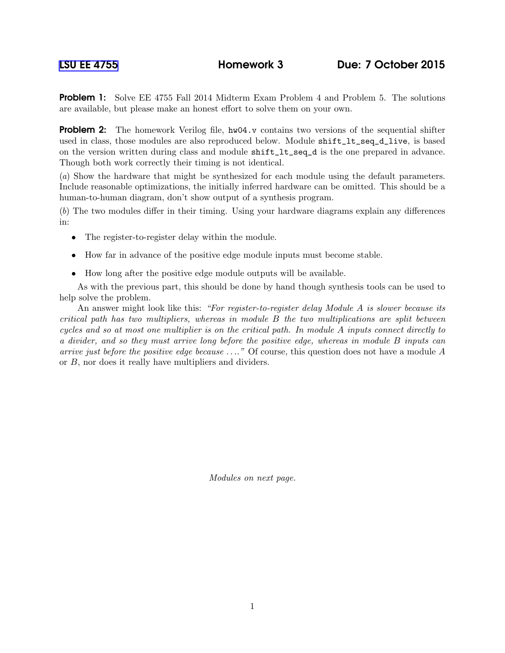**Problem 1:** Solve EE 4755 Fall 2014 Midterm Exam Problem 4 and Problem 5. The solutions are available, but please make an honest effort to solve them on your own.

Problem 2: The homework Verilog file, hw04.v contains two versions of the sequential shifter used in class, those modules are also reproduced below. Module shift\_lt\_seq\_d\_live, is based on the version written during class and module shift\_lt\_seq\_d is the one prepared in advance. Though both work correctly their timing is not identical.

(a) Show the hardware that might be synthesized for each module using the default parameters. Include reasonable optimizations, the initially inferred hardware can be omitted. This should be a human-to-human diagram, don't show output of a synthesis program.

(b) The two modules differ in their timing. Using your hardware diagrams explain any differences in:

- The register-to-register delay within the module.
- How far in advance of the positive edge module inputs must become stable.
- How long after the positive edge module outputs will be available.

As with the previous part, this should be done by hand though synthesis tools can be used to help solve the problem.

An answer might look like this: "For register-to-register delay Module A is slower because its critical path has two multipliers, whereas in module B the two multiplications are split between cycles and so at most one multiplier is on the critical path. In module A inputs connect directly to a divider, and so they must arrive long before the positive edge, whereas in module B inputs can arrive just before the positive edge because  $\dots$ ." Of course, this question does not have a module A or B, nor does it really have multipliers and dividers.

Modules on next page.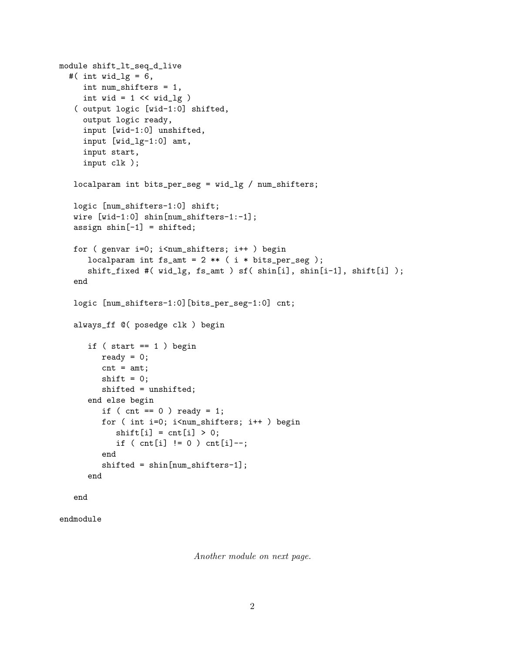```
module shift_lt_seq_d_live
#( int wid_lg = 6,
   int num_shifters = 1,
   int wid = 1 \lt\lt wid_lg )( output logic [wid-1:0] shifted,
   output logic ready,
   input [wid-1:0] unshifted,
   input [wid_lg-1:0] amt,
   input start,
   input clk );
 localparam int bits_per_seg = wid_lg / num_shifters;
 logic [num_shifters-1:0] shift;
 wire [wid-1:0] shin[num_shifters-1:-1];
 assign \sin[-1] = \sin\theta;
 for ( genvar i=0; i<num_shifters; i++ ) begin
    localparam int fs\_amt = 2 ** (i * bits\_per\_seg);
    shift_fixed #( wid_lg, fs_amt ) sf( shin[i], shin[i-1], shift[i] );
 end
 logic [num_shifters-1:0][bits_per_seg-1:0] cnt;
 always_ff @( posedge clk ) begin
    if (start == 1) begin
       ready = 0;
       cnt = amt;shift = 0;shifted = unshifted;
    end else begin
       if ( cnt == 0 ) ready = 1;
       for ( int i=0; i<num_shifters; i++ ) begin
          shift[i] = cnt[i] > 0;if (int[i] != 0) \text{cnt}[i] --;end
       shifted = shin[num_shifters-1];
    end
 end
```

```
endmodule
```
Another module on next page.